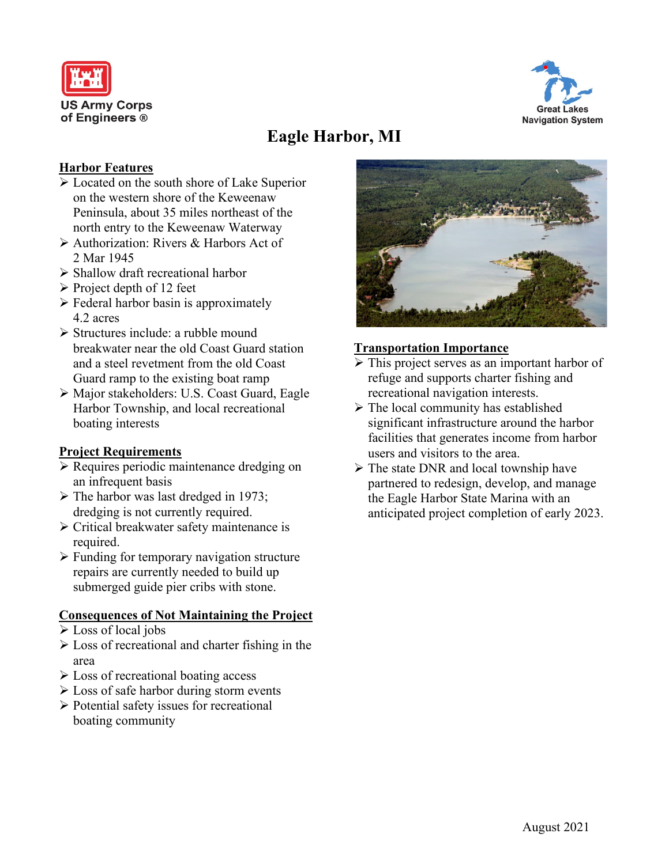



# **Eagle Harbor, MI**

#### **Harbor Features**

- $\triangleright$  Located on the south shore of Lake Superior on the western shore of the Keweenaw Peninsula, about 35 miles northeast of the north entry to the Keweenaw Waterway
- Authorization: Rivers & Harbors Act of 2 Mar 1945
- $\triangleright$  Shallow draft recreational harbor
- $\triangleright$  Project depth of 12 feet
- $\triangleright$  Federal harbor basin is approximately 4.2 acres
- $\triangleright$  Structures include: a rubble mound breakwater near the old Coast Guard station and a steel revetment from the old Coast Guard ramp to the existing boat ramp
- Major stakeholders: U.S. Coast Guard, Eagle Harbor Township, and local recreational boating interests

#### **Project Requirements**

- $\triangleright$  Requires periodic maintenance dredging on an infrequent basis
- $\triangleright$  The harbor was last dredged in 1973; dredging is not currently required.
- $\triangleright$  Critical breakwater safety maintenance is required.
- $\triangleright$  Funding for temporary navigation structure repairs are currently needed to build up submerged guide pier cribs with stone.

### **Consequences of Not Maintaining the Project**

- Loss of local jobs
- $\triangleright$  Loss of recreational and charter fishing in the area
- $\triangleright$  Loss of recreational boating access
- $\triangleright$  Loss of safe harbor during storm events
- $\triangleright$  Potential safety issues for recreational boating community



#### **Transportation Importance**

- This project serves as an important harbor of refuge and supports charter fishing and recreational navigation interests.
- $\triangleright$  The local community has established significant infrastructure around the harbor facilities that generates income from harbor users and visitors to the area.
- $\triangleright$  The state DNR and local township have partnered to redesign, develop, and manage the Eagle Harbor State Marina with an anticipated project completion of early 2023.